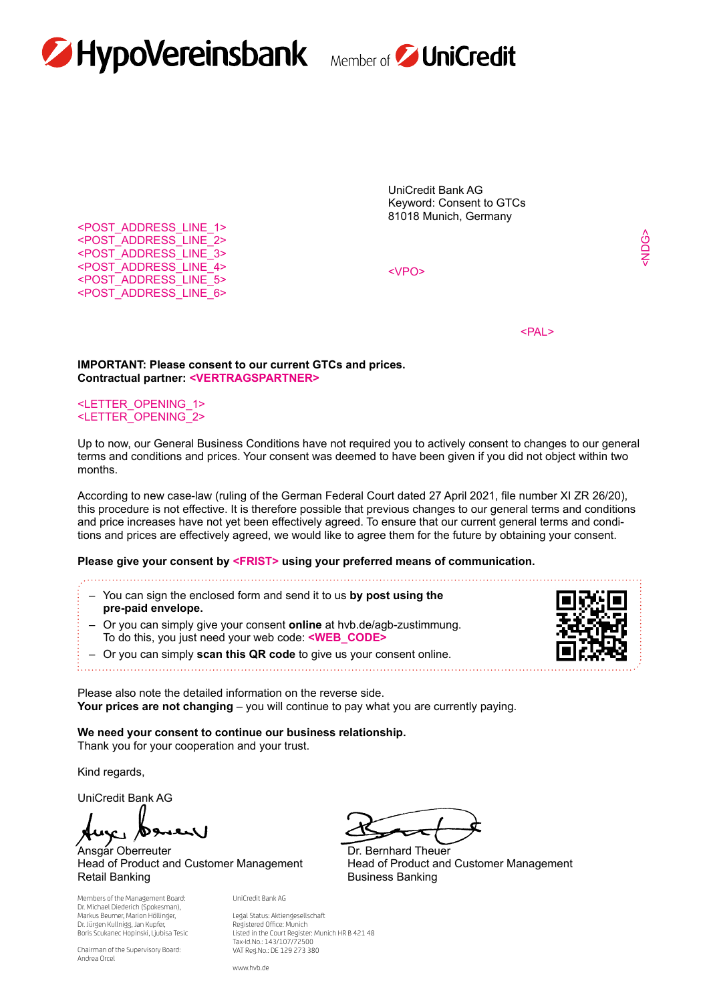



UniCredit Bank AG Keyword: Consent to GTCs 81018 Munich, Germany

<VPO>

<NDG>

the contract of the contract of the contract of the contract of the contract of the contract of the contract of the contract of the contract of the contract of the contract of the contract of the contract of the contract o

#### **IMPORTANT: Please consent to our current GTCs and prices. Contractual partner: <VERTRAGSPARTNER>**

### <LETTER\_OPENING\_1> <LETTER\_OPENING\_2>

<POST\_ADDRESS\_LINE\_1> <POST\_ADDRESS\_LINE\_2> <POST\_ADDRESS\_LINE\_3> <POST\_ADDRESS\_LINE\_4> <POST\_ADDRESS\_LINE\_5> <POST\_ADDRESS\_LINE\_6>

Up to now, our General Business Conditions have not required you to actively consent to changes to our general terms and conditions and prices. Your consent was deemed to have been given if you did not object within two months.

According to new case-law (ruling of the German Federal Court dated 27 April 2021, file number XI ZR 26/20), this procedure is not effective. It is therefore possible that previous changes to our general terms and conditions and price increases have not yet been effectively agreed. To ensure that our current general terms and conditions and prices are effectively agreed, we would like to agree them for the future by obtaining your consent.

#### **Please give your consent by <FRIST> using your preferred means of communication.**

- You can sign the enclosed form and send it to us **by post using the pre-paid envelope.**
- Or you can simply give your consent **online** at hvb.de/agb-zustimmung. To do this, you just need your web code: **<WEB\_CODE>**
- Or you can simply **scan this QR code** to give us your consent online.



Please also note the detailed information on the reverse side. **Your prices are not changing** – you will continue to pay what you are currently paying.

**We need your consent to continue our business relationship.** Thank you for your cooperation and your trust.

Kind regards,

UniCredit Bank AG

Ansgar Oberreuter **Dr. Bernhard Theuer** Head of Product and Customer Management Head of Product and Customer Management Retail Banking **Business Banking Business Banking** 

Members of the Management Board: Dr. Michael Diederich (Spokesman), Markus Beumer, Marion Höllinger, Dr. Jürgen Kullnigg, Jan Kupfer, Boris Scukanec Hopinski, Ljubisa Tesic

Chairman of the Supervisory Board: Andrea Orcel

Legal Status: Aktiengesellschaft Registered Office: Munich Listed in the Court Register: Munich HR B 421 48 Tax-Id.No.: 143/107/72500 VAT Reg.No.: DE 129 273 380

www.hvb.de

UniCredit Bank AG